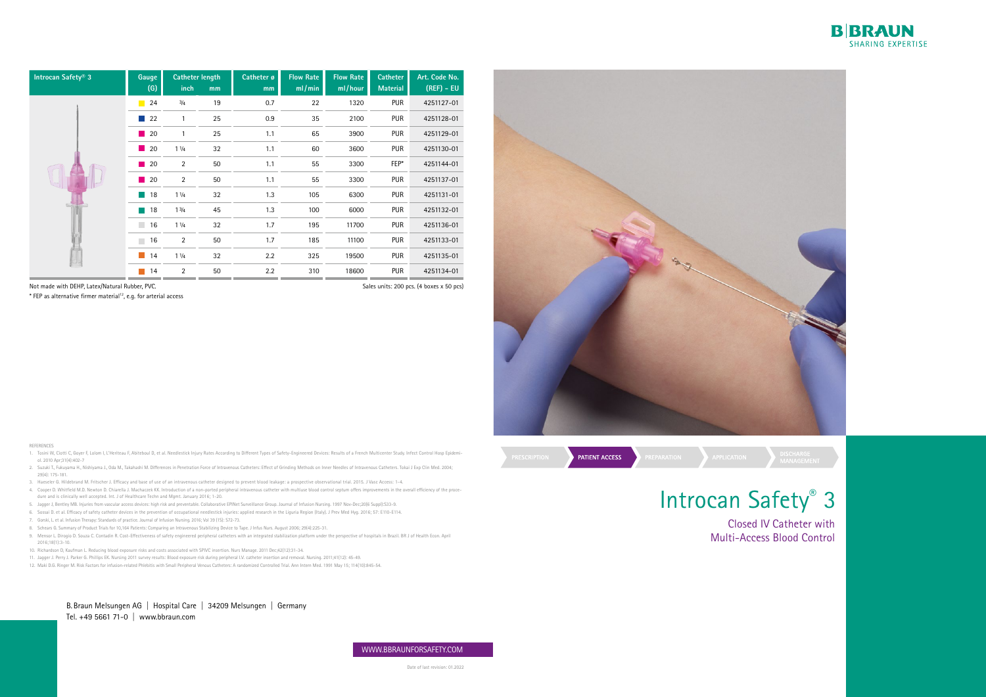B.Braun Melsungen AG | Hospital Care | 34209 Melsungen | Germany Tel. +49 5661 71-0 | www.bbraun.com

# Introcan Safety® 3 Closed IV Catheter with Multi-Access Blood Control



Date of last revision: 01.2022



Not made with DEHP, Latex/Natural Rubber, PVC.

\* FEP as alternative firmer material12, e.g. for arterial access

REFERENCES

- 1. Tosini W, Ciotti C, Goyer F, Lolom I, L'Heriteau F, Abiteboul D, et al. Needlestick Injury Rates According to Different Types of Safety-Engineered Devices: Results of a French Multicenter Study. Infect Control Hosp Epid ol. 2010 Apr;31(4):402-7
- 2. Suzuki T., Fukuyama H., Nishiyama J., Oda M., Takahashi M. Differences in Penetration Force of Intravenous Catheters: Effect of Grinding Methods on Inner Needles of Intravenous Catheters. Tokai J Exp Clin Med. 2004; 29(4): 175-181.
- 3. Haeseler G. Hildebrand M. Fritscher J. Efficacy and base of use of an intravenous catheter designed to prevent blood leakage: a prospective observational trial. 2015. J Vasc Access: 1-4.
- 4. Cooper D. Whitfield M.D. Newton D. Chiarella J. Machaczek KK. Introduction of a non-ported peripheral intravenous catheter with multiuse blood control septum offers improvements in the overall efficiency of the procedure and is clinically well accepted. Int. J of Healthcare Techn and Mgmt. January 2016; 1-20.
- 5. Jagger J, Bentley MB. Injuries from vascular access devices: high risk and preventable. Collaborative EPINet Surveillance Group. Journal of Infusion Nursing. 1997 Nov-Dec;20(6 Suppl):S33-9.
- 6. Sossai D. et al. Efficacy of safety catheter devices in the prevention of occupational needlestick injuries: applied research in the Liguria Region (Italy). J Prev Med Hyg. 2016; 57: E110-E114.
- 7. Gorski, L. et al. Infusion Therapy: Standards of practice. Journal of Infusion Nursing. 2016; Vol 39 (1S): S72-73.
- 8. Schears G. Summary of Product Trials for 10,164 Patients: Comparing an Intravenous Stabilizing Device to Tape. J Infus Nurs. August 2006; 29(4):225-31.
- 9. Mensor L. Dirogio D. Souza C. Contadin R. Cost-Effectiveness of safety engineered peripheral catheters with an integrated stabilization platform under the perspective of hospitals in Brazil. BR J of Health Econ. April 2016;18(1):3-10.
- 10. Richardson D, Kaufman L. Reducing blood exposure risks and costs associated with SPIVC insertion. Nurs Manage. 2011 Dec;42(12):31-34.
- 11. Jagger J. Perry J. Parker G. Phillips EK. Nursing 2011 survey results: Blood exposure risk during peripheral I.V. catheter insertion and removal. Nursing. 2011;41(12): 45-49.
- 12. Maki D.G. Ringer M. Risk Factors for infusion-related Phlebitis with Small Peripheral Venous Catheters: A randomized Controlled Trial. Ann Intern Med. 1991 May 15; 114(10):845-54.

| Introcan Safety <sup>®</sup> 3 | Gauge<br>(G)                      | Catheter length<br>inch | mm | Catheter ø<br>mm | <b>Flow Rate</b><br>ml/min | <b>Flow Rate</b><br>ml/hour | <b>Catheter</b><br><b>Material</b> | Art. Code No.<br>$(REF) - EU$ |
|--------------------------------|-----------------------------------|-------------------------|----|------------------|----------------------------|-----------------------------|------------------------------------|-------------------------------|
|                                | 24<br>$\mathbb{R}^n$              | 3/4                     | 19 | 0.7              | 22                         | 1320                        | <b>PUR</b>                         | 4251127-01                    |
|                                | 22<br>l a l                       | $\mathbf{1}$            | 25 | 0.9              | 35                         | 2100                        | <b>PUR</b>                         | 4251128-01                    |
|                                | 20<br>$\mathcal{L}^{\text{max}}$  | $\mathbf{1}$            | 25 | 1.1              | 65                         | 3900                        | <b>PUR</b>                         | 4251129-01                    |
|                                | 20<br>H.                          | 11/4                    | 32 | 1.1              | 60                         | 3600                        | <b>PUR</b>                         | 4251130-01                    |
|                                | 20<br>$\mathcal{L}_{\mathcal{A}}$ | $\overline{2}$          | 50 | 1.1              | 55                         | 3300                        | FEP*                               | 4251144-01                    |
|                                | 20<br>H.                          | $\overline{2}$          | 50 | 1.1              | 55                         | 3300                        | <b>PUR</b>                         | 4251137-01                    |
|                                | 18<br>$\mathbb{Z}^2$              | 11/4                    | 32 | 1.3              | 105                        | 6300                        | <b>PUR</b>                         | 4251131-01                    |
|                                | 18<br>H.                          | $1 \frac{3}{4}$         | 45 | 1.3              | 100                        | 6000                        | <b>PUR</b>                         | 4251132-01                    |
|                                | <b>College</b><br>16              | 11/4                    | 32 | 1.7              | 195                        | 11700                       | <b>PUR</b>                         | 4251136-01                    |
|                                | 16<br><b>Tale</b>                 | $\overline{\mathbf{c}}$ | 50 | 1.7              | 185                        | 11100                       | <b>PUR</b>                         | 4251133-01                    |
|                                | 14<br>$\mathcal{L}^{\mathcal{A}}$ | 11/4                    | 32 | 2.2              | 325                        | 19500                       | <b>PUR</b>                         | 4251135-01                    |
|                                | 14<br>m.                          | 2                       | 50 | 2.2              | 310                        | 18600                       | <b>PUR</b>                         | 4251134-01                    |

Sales units: 200 pcs. (4 boxes x 50 pcs)



PATIENT ACCESS